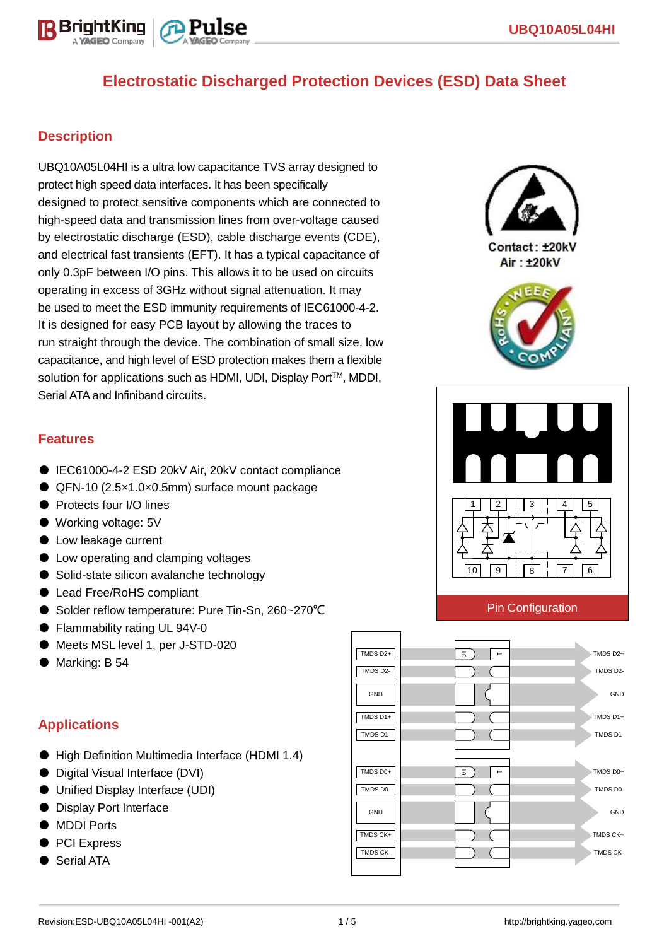

### **Description**

BriahtKina

UBQ10A05L04HI is a ultra low capacitance TVS array designed to protect high speed data interfaces. It has been specifically designed to protect sensitive components which are connected to high-speed data and transmission lines from over-voltage caused by electrostatic discharge (ESD), cable discharge events (CDE), and electrical fast transients (EFT). It has a typical capacitance of only 0.3pF between I/O pins. This allows it to be used on circuits operating in excess of 3GHz without signal attenuation. It may be used to meet the ESD immunity requirements of IEC61000-4-2. It is designed for easy PCB layout by allowing the traces to run straight through the device. The combination of small size, low capacitance, and high level of ESD protection makes them a flexible solution for applications such as HDMI, UDI, Display Port™, MDDI, Serial ATA and Infiniband circuits.



Contact: +20kV Air: ±20kV





#### Pin Configuration



### **Features**

- IEC61000-4-2 ESD 20kV Air, 20kV contact compliance
- QFN-10 (2.5×1.0×0.5mm) surface mount package
- Protects four I/O lines
- Working voltage: 5V
- Low leakage current
- Low operating and clamping voltages
- Solid-state silicon avalanche technology
- Lead Free/RoHS compliant
- Solder reflow temperature: Pure Tin-Sn, 260~270°C
- Flammability rating UL 94V-0
- Meets MSL level 1, per J-STD-020
- Marking: B 54

### **Applications**

- High Definition Multimedia Interface (HDMI 1.4)
- Digital Visual Interface (DVI)
- Unified Display Interface (UDI)
- Display Port Interface
- MDDI Ports
- PCI Express
- **Serial ATA**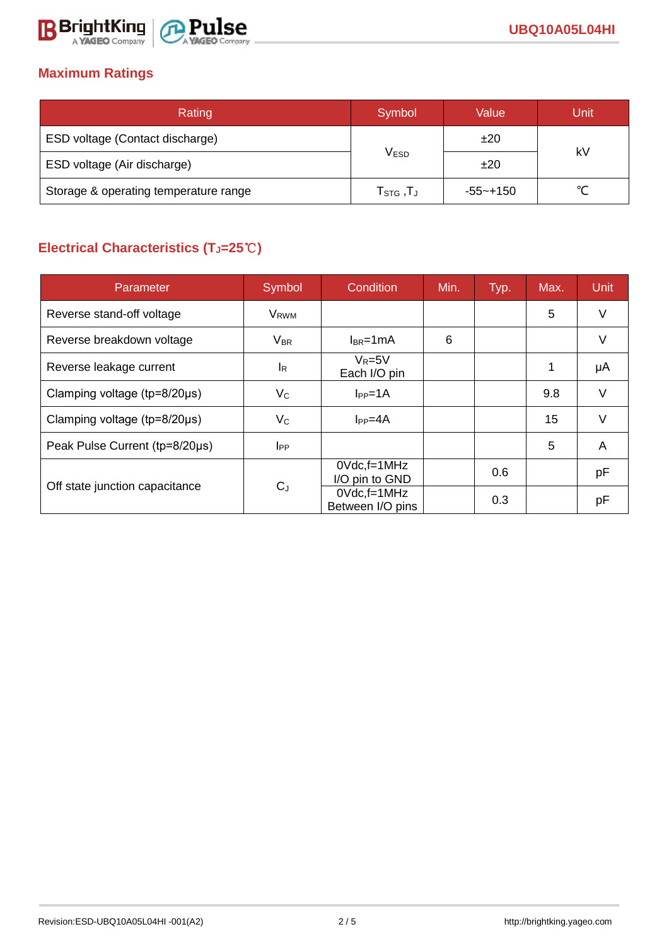

### **Maximum Ratings**

| Rating                                | Symbol                                     | Value        |        |  |
|---------------------------------------|--------------------------------------------|--------------|--------|--|
| ESD voltage (Contact discharge)       |                                            | ±20          | kV     |  |
| ESD voltage (Air discharge)           | <b>VESD</b>                                | ±20          |        |  |
| Storage & operating temperature range | ${\sf T}_{\text{STG}}$ , ${\sf T}_{\sf J}$ | $-55 - +150$ | $\sim$ |  |

# **Electrical Characteristics (TJ=25**℃**)**

| Parameter                              | Symbol                | Condition                            | Min. | Typ. | Max. | <b>Unit</b> |
|----------------------------------------|-----------------------|--------------------------------------|------|------|------|-------------|
| Reverse stand-off voltage              | V <sub>RWM</sub>      |                                      |      |      | 5    | V           |
| Reverse breakdown voltage              | <b>V<sub>BR</sub></b> | $I_{BR}$ =1mA                        | 6    |      |      | v           |
| Reverse leakage current                | <sup>I</sup> R        | $V_R = 5V$<br>Each I/O pin           |      |      | 1    | μA          |
| Clamping voltage ( $tp = 8/20 \mu s$ ) | $V_{\rm C}$           | $I_{PP}=1A$                          |      |      | 9.8  | $\vee$      |
| Clamping voltage ( $tp = 8/20 \mu s$ ) | $V_C$                 | $I_{PP}=4A$                          |      |      | 15   | v           |
| Peak Pulse Current (tp=8/20µs)         | $_{\rm lPP}$          |                                      |      |      | 5    | A           |
| Off state junction capacitance         | $C_{J}$               | $0Vdc$ , f=1 $MHz$<br>I/O pin to GND |      | 0.6  |      | pF          |
|                                        |                       | $0$ Vdc, f=1MHz<br>Between I/O pins  |      | 0.3  |      | pF          |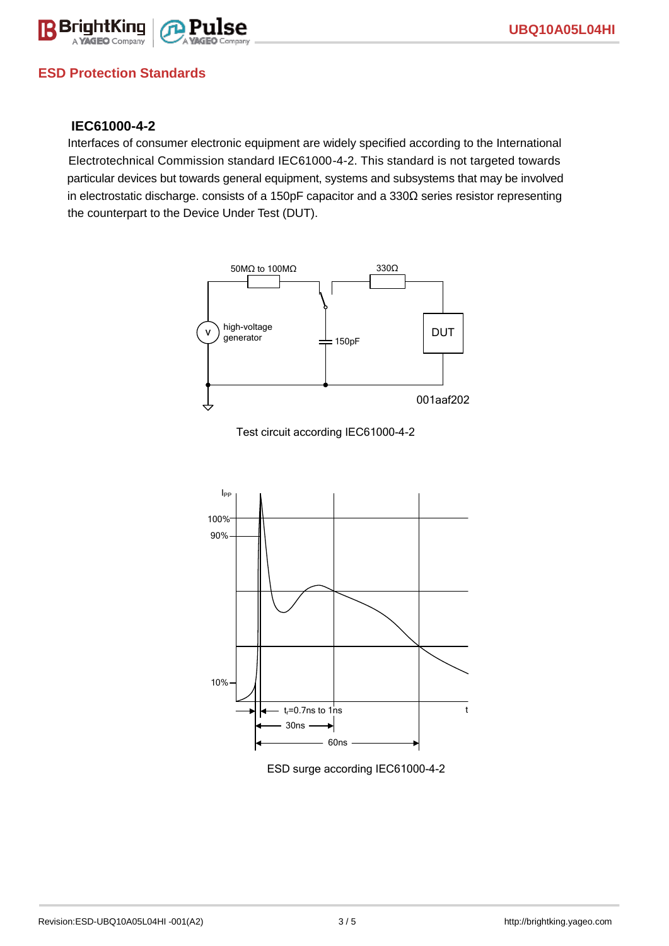

### **ESD Protection Standards**

### **IEC61000-4-2**

Interfaces of consumer electronic equipment are widely specified according to the International Electrotechnical Commission standard IEC61000-4-2. This standard is not targeted towards particular devices but towards general equipment, systems and subsystems that may be involved in electrostatic discharge. consists of a 150pF capacitor and a 330Ω series resistor representing the counterpart to the Device Under Test (DUT).







ESD surge according IEC61000-4-2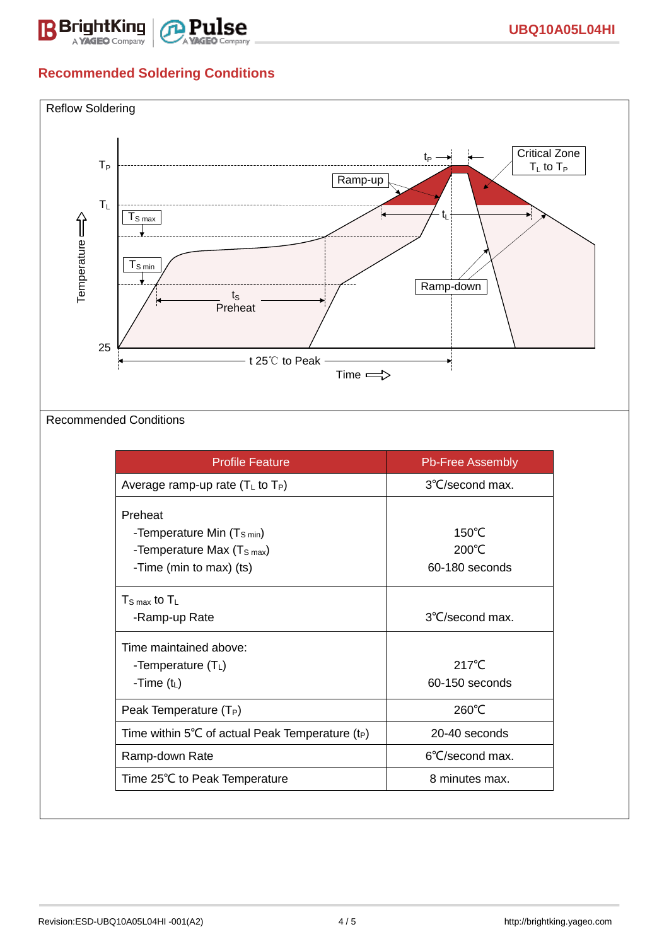

## **Recommended Soldering Conditions**